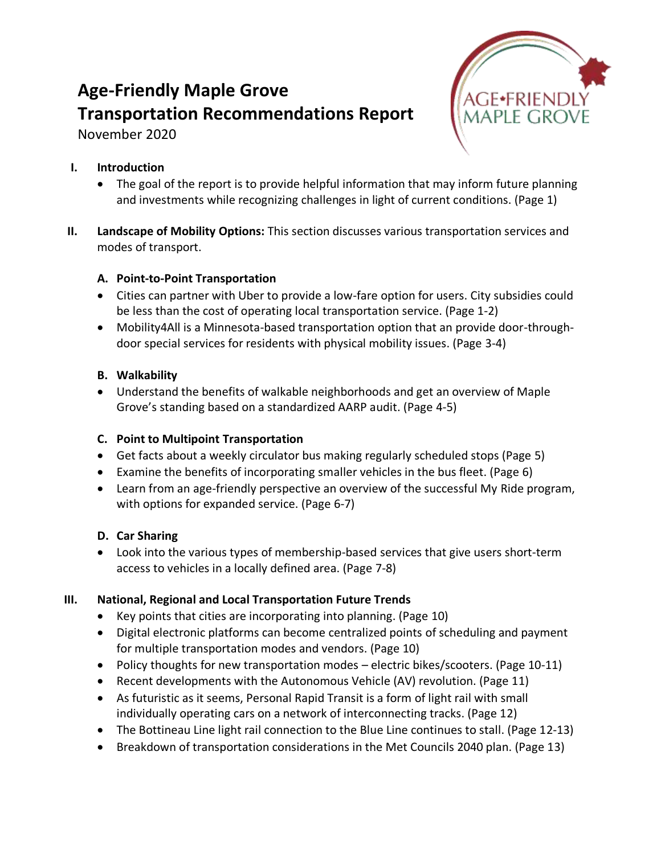# **Age-Friendly Maple Grove Transportation Recommendations Report**

November 2020



### **I. Introduction**

- The goal of the report is to provide helpful information that may inform future planning and investments while recognizing challenges in light of current conditions. (Page 1)
- **II. Landscape of Mobility Options:** This section discusses various transportation services and modes of transport.

## **A. Point-to-Point Transportation**

- Cities can partner with Uber to provide a low-fare option for users. City subsidies could be less than the cost of operating local transportation service. (Page 1-2)
- Mobility4All is a Minnesota-based transportation option that an provide door-throughdoor special services for residents with physical mobility issues. (Page 3-4)

### **B. Walkability**

• Understand the benefits of walkable neighborhoods and get an overview of Maple Grove's standing based on a standardized AARP audit. (Page 4-5)

## **C. Point to Multipoint Transportation**

- Get facts about a weekly circulator bus making regularly scheduled stops (Page 5)
- Examine the benefits of incorporating smaller vehicles in the bus fleet. (Page 6)
- Learn from an age-friendly perspective an overview of the successful My Ride program, with options for expanded service. (Page 6-7)

## **D. Car Sharing**

• Look into the various types of membership-based services that give users short-term access to vehicles in a locally defined area. (Page 7-8)

## **III. National, Regional and Local Transportation Future Trends**

- Key points that cities are incorporating into planning. (Page 10)
- Digital electronic platforms can become centralized points of scheduling and payment for multiple transportation modes and vendors. (Page 10)
- Policy thoughts for new transportation modes electric bikes/scooters. (Page 10-11)
- Recent developments with the Autonomous Vehicle (AV) revolution. (Page 11)
- As futuristic as it seems, Personal Rapid Transit is a form of light rail with small individually operating cars on a network of interconnecting tracks. (Page 12)
- The Bottineau Line light rail connection to the Blue Line continues to stall. (Page 12-13)
- Breakdown of transportation considerations in the Met Councils 2040 plan. (Page 13)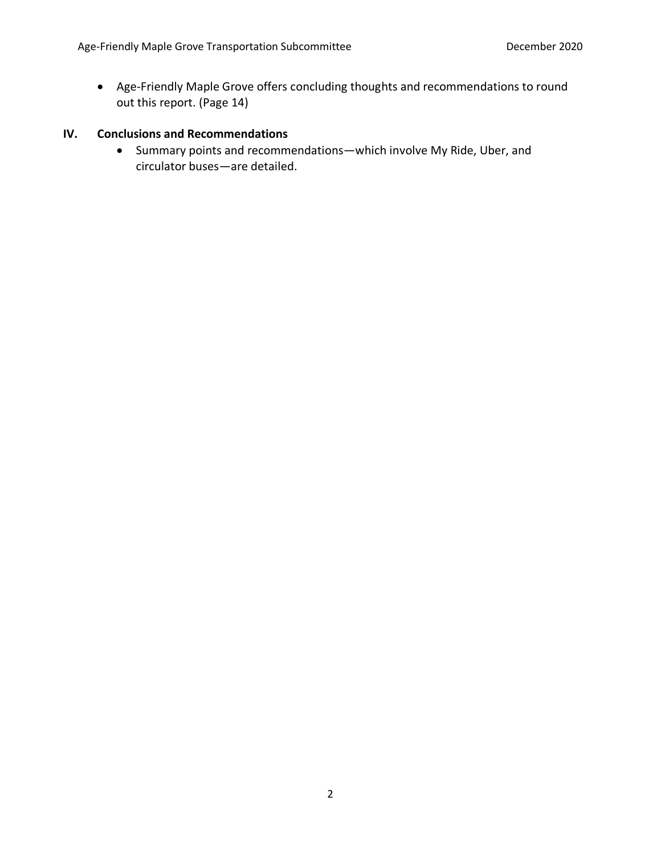• Age-Friendly Maple Grove offers concluding thoughts and recommendations to round out this report. (Page 14)

### **IV. Conclusions and Recommendations**

• Summary points and recommendations—which involve My Ride, Uber, and circulator buses—are detailed.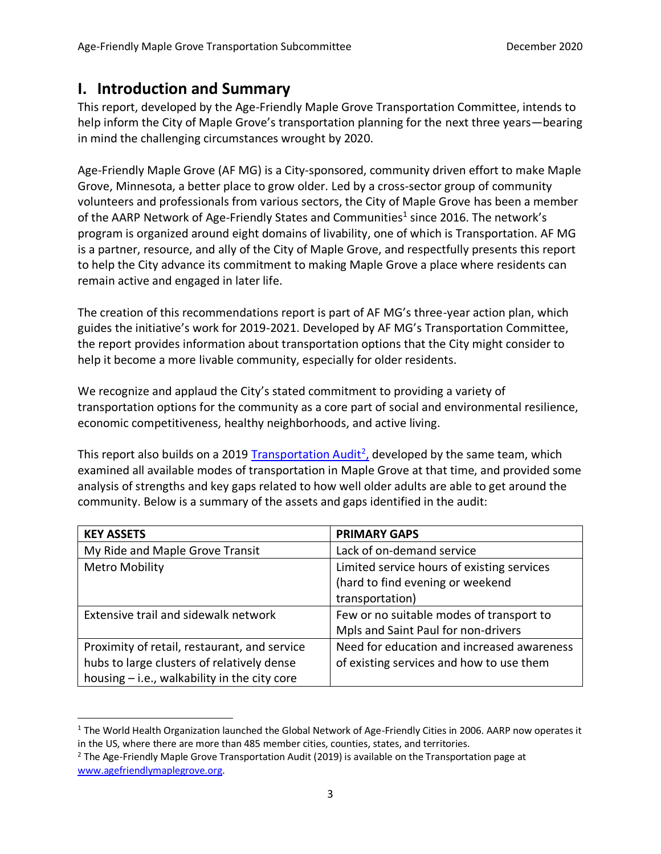## **I. Introduction and Summary**

This report, developed by the Age-Friendly Maple Grove Transportation Committee, intends to help inform the City of Maple Grove's transportation planning for the next three years—bearing in mind the challenging circumstances wrought by 2020.

Age-Friendly Maple Grove (AF MG) is a City-sponsored, community driven effort to make Maple Grove, Minnesota, a better place to grow older. Led by a cross-sector group of community volunteers and professionals from various sectors, the City of Maple Grove has been a member of the AARP Network of Age-Friendly States and Communities<sup>1</sup> since 2016. The network's program is organized around eight domains of livability, one of which is Transportation. AF MG is a partner, resource, and ally of the City of Maple Grove, and respectfully presents this report to help the City advance its commitment to making Maple Grove a place where residents can remain active and engaged in later life.

The creation of this recommendations report is part of AF MG's three-year action plan, which guides the initiative's work for 2019-2021. Developed by AF MG's Transportation Committee, the report provides information about transportation options that the City might consider to help it become a more livable community, especially for older residents.

We recognize and applaud the City's stated commitment to providing a variety of transportation options for the community as a core part of social and environmental resilience, economic competitiveness, healthy neighborhoods, and active living.

This report also builds on a 2019 [Transportation Audit](https://agefriendlymaplegrove.org/cms-files/transportation-audit.pdf)<sup>2</sup>, developed by the same team, which examined all available modes of transportation in Maple Grove at that time, and provided some analysis of strengths and key gaps related to how well older adults are able to get around the community. Below is a summary of the assets and gaps identified in the audit:

| <b>KEY ASSETS</b>                            | <b>PRIMARY GAPS</b>                        |
|----------------------------------------------|--------------------------------------------|
| My Ride and Maple Grove Transit              | Lack of on-demand service                  |
| <b>Metro Mobility</b>                        | Limited service hours of existing services |
|                                              | (hard to find evening or weekend           |
|                                              | transportation)                            |
| Extensive trail and sidewalk network         | Few or no suitable modes of transport to   |
|                                              | Mpls and Saint Paul for non-drivers        |
| Proximity of retail, restaurant, and service | Need for education and increased awareness |
| hubs to large clusters of relatively dense   | of existing services and how to use them   |
| housing - i.e., walkability in the city core |                                            |

 $1$  The World Health Organization launched the Global Network of Age-Friendly Cities in 2006. AARP now operates it in the US, where there are more than 485 member cities, counties, states, and territories.

<sup>&</sup>lt;sup>2</sup> The Age-Friendly Maple Grove Transportation Audit (2019) is available on the Transportation page at [www.agefriendlymaplegrove.org.](http://www.agefriendlymaplegrove.org/)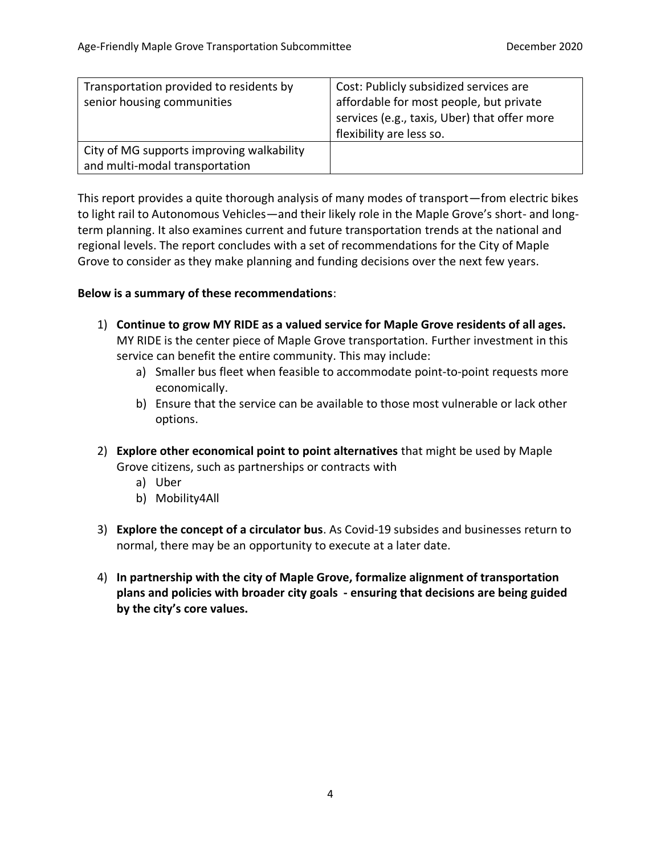| Transportation provided to residents by   | Cost: Publicly subsidized services are       |
|-------------------------------------------|----------------------------------------------|
| senior housing communities                | affordable for most people, but private      |
|                                           | services (e.g., taxis, Uber) that offer more |
|                                           | flexibility are less so.                     |
| City of MG supports improving walkability |                                              |
| and multi-modal transportation            |                                              |

This report provides a quite thorough analysis of many modes of transport—from electric bikes to light rail to Autonomous Vehicles—and their likely role in the Maple Grove's short- and longterm planning. It also examines current and future transportation trends at the national and regional levels. The report concludes with a set of recommendations for the City of Maple Grove to consider as they make planning and funding decisions over the next few years.

### **Below is a summary of these recommendations**:

- 1) **Continue to grow MY RIDE as a valued service for Maple Grove residents of all ages.** MY RIDE is the center piece of Maple Grove transportation. Further investment in this service can benefit the entire community. This may include:
	- a) Smaller bus fleet when feasible to accommodate point-to-point requests more economically.
	- b) Ensure that the service can be available to those most vulnerable or lack other options.
- 2) **Explore other economical point to point alternatives** that might be used by Maple Grove citizens, such as partnerships or contracts with
	- a) Uber
	- b) Mobility4All
- 3) **Explore the concept of a circulator bus**. As Covid-19 subsides and businesses return to normal, there may be an opportunity to execute at a later date.
- 4) **In partnership with the city of Maple Grove, formalize alignment of transportation plans and policies with broader city goals - ensuring that decisions are being guided by the city's core values.**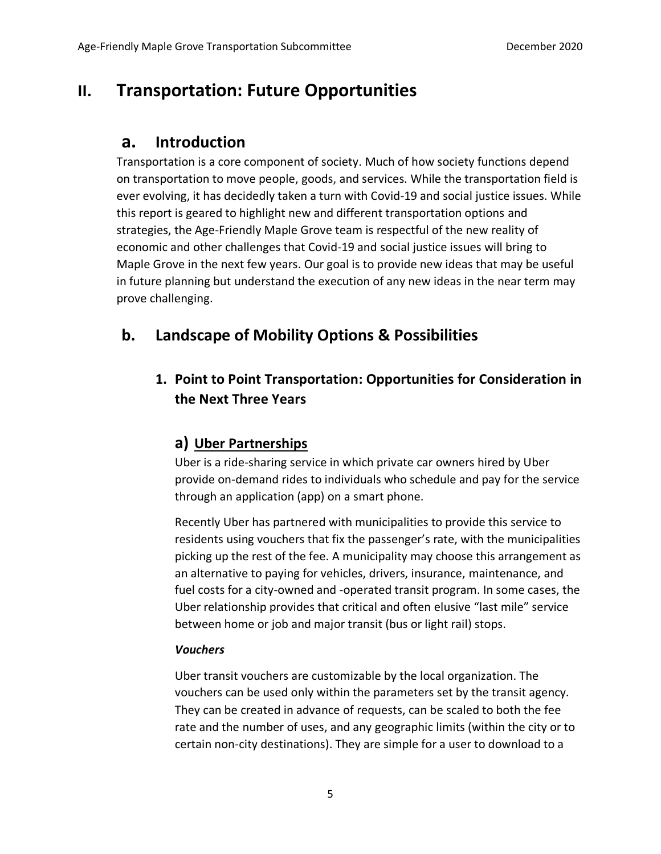## **II. Transportation: Future Opportunities**

## **a. Introduction**

Transportation is a core component of society. Much of how society functions depend on transportation to move people, goods, and services. While the transportation field is ever evolving, it has decidedly taken a turn with Covid-19 and social justice issues. While this report is geared to highlight new and different transportation options and strategies, the Age-Friendly Maple Grove team is respectful of the new reality of economic and other challenges that Covid-19 and social justice issues will bring to Maple Grove in the next few years. Our goal is to provide new ideas that may be useful in future planning but understand the execution of any new ideas in the near term may prove challenging.

## **b. Landscape of Mobility Options & Possibilities**

## **1. Point to Point Transportation: Opportunities for Consideration in the Next Three Years**

## **a) Uber Partnerships**

Uber is a ride-sharing service in which private car owners hired by Uber provide on-demand rides to individuals who schedule and pay for the service through an application (app) on a smart phone.

Recently Uber has partnered with municipalities to provide this service to residents using vouchers that fix the passenger's rate, with the municipalities picking up the rest of the fee. A municipality may choose this arrangement as an alternative to paying for vehicles, drivers, insurance, maintenance, and fuel costs for a city-owned and -operated transit program. In some cases, the Uber relationship provides that critical and often elusive "last mile" service between home or job and major transit (bus or light rail) stops.

### *Vouchers*

Uber transit vouchers are customizable by the local organization. The vouchers can be used only within the parameters set by the transit agency. They can be created in advance of requests, can be scaled to both the fee rate and the number of uses, and any geographic limits (within the city or to certain non-city destinations). They are simple for a user to download to a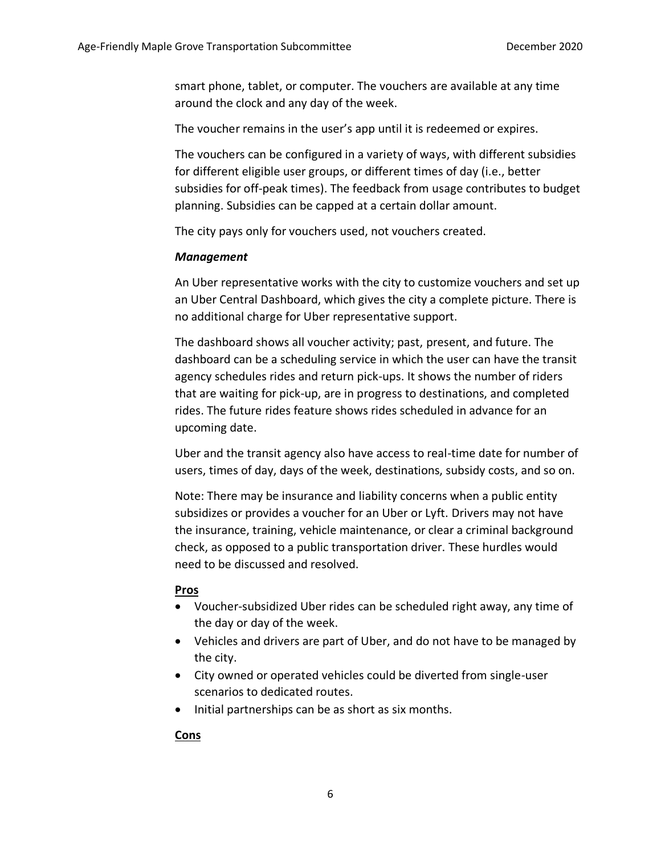smart phone, tablet, or computer. The vouchers are available at any time around the clock and any day of the week.

The voucher remains in the user's app until it is redeemed or expires.

The vouchers can be configured in a variety of ways, with different subsidies for different eligible user groups, or different times of day (i.e., better subsidies for off-peak times). The feedback from usage contributes to budget planning. Subsidies can be capped at a certain dollar amount.

The city pays only for vouchers used, not vouchers created.

#### *Management*

An Uber representative works with the city to customize vouchers and set up an Uber Central Dashboard, which gives the city a complete picture. There is no additional charge for Uber representative support.

The dashboard shows all voucher activity; past, present, and future. The dashboard can be a scheduling service in which the user can have the transit agency schedules rides and return pick-ups. It shows the number of riders that are waiting for pick-up, are in progress to destinations, and completed rides. The future rides feature shows rides scheduled in advance for an upcoming date.

Uber and the transit agency also have access to real-time date for number of users, times of day, days of the week, destinations, subsidy costs, and so on.

Note: There may be insurance and liability concerns when a public entity subsidizes or provides a voucher for an Uber or Lyft. Drivers may not have the insurance, training, vehicle maintenance, or clear a criminal background check, as opposed to a public transportation driver. These hurdles would need to be discussed and resolved.

### **Pros**

- Voucher-subsidized Uber rides can be scheduled right away, any time of the day or day of the week.
- Vehicles and drivers are part of Uber, and do not have to be managed by the city.
- City owned or operated vehicles could be diverted from single-user scenarios to dedicated routes.
- Initial partnerships can be as short as six months.

### **Cons**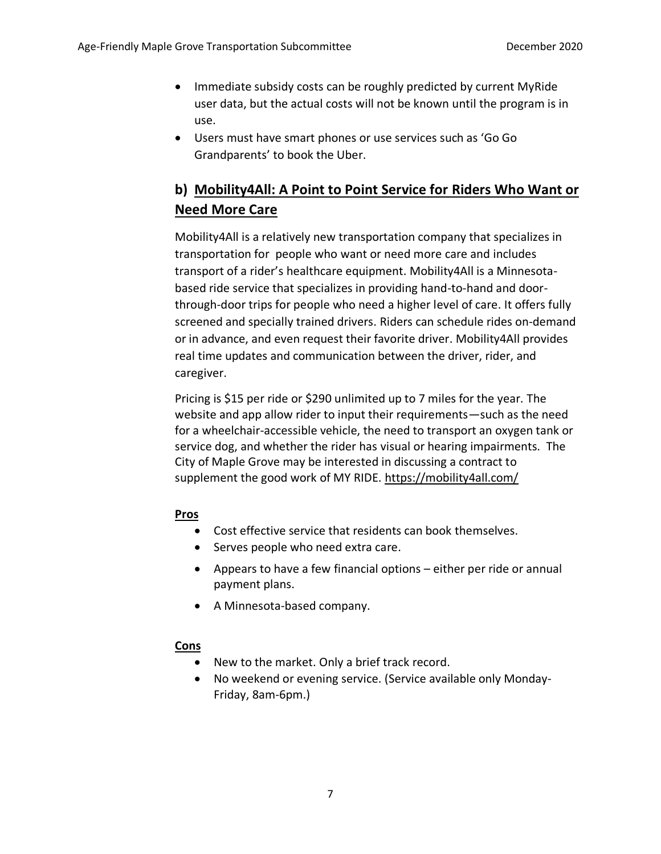- Immediate subsidy costs can be roughly predicted by current MyRide user data, but the actual costs will not be known until the program is in use.
- Users must have smart phones or use services such as 'Go Go Grandparents' to book the Uber.

## **b) Mobility4All: A Point to Point Service for Riders Who Want or Need More Care**

Mobility4All is a relatively new transportation company that specializes in transportation for people who want or need more care and includes transport of a rider's healthcare equipment. Mobility4All is a Minnesotabased ride service that specializes in providing hand-to-hand and doorthrough-door trips for people who need a higher level of care. It offers fully screened and specially trained drivers. Riders can schedule rides on-demand or in advance, and even request their favorite driver. Mobility4All provides real time updates and communication between the driver, rider, and caregiver.

Pricing is \$15 per ride or \$290 unlimited up to 7 miles for the year. The website and app allow rider to input their requirements—such as the need for a wheelchair-accessible vehicle, the need to transport an oxygen tank or service dog, and whether the rider has visual or hearing impairments. The City of Maple Grove may be interested in discussing a contract to supplement the good work of MY RIDE.<https://mobility4all.com/>

### **Pros**

- Cost effective service that residents can book themselves.
- Serves people who need extra care.
- Appears to have a few financial options either per ride or annual payment plans.
- A Minnesota-based company.

### **Cons**

- New to the market. Only a brief track record.
- No weekend or evening service. (Service available only Monday-Friday, 8am-6pm.)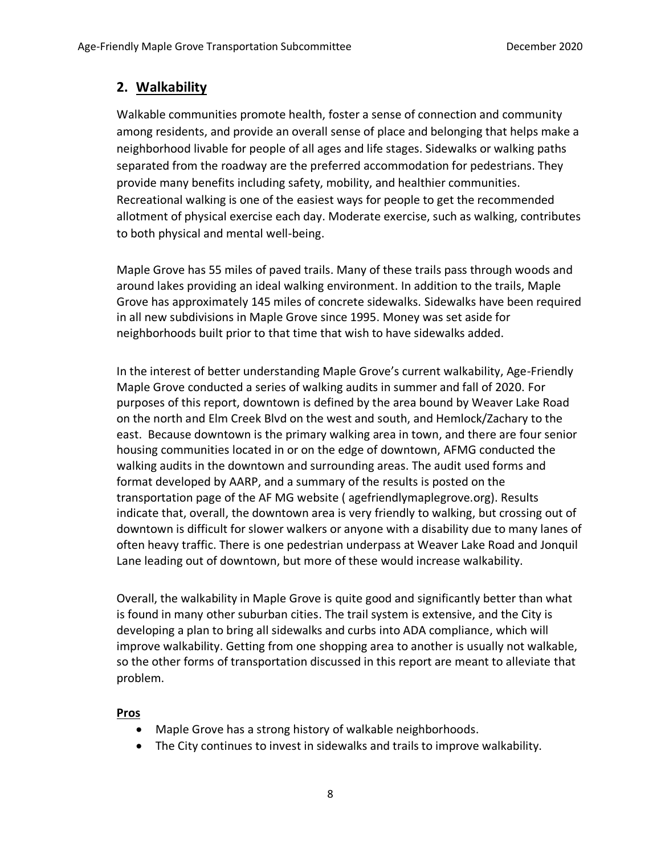## **2. Walkability**

Walkable communities promote health, foster a sense of connection and community among residents, and provide an overall sense of place and belonging that helps make a neighborhood livable for people of all ages and life stages. Sidewalks or walking paths separated from the roadway are the preferred accommodation for pedestrians. They provide many benefits including safety, mobility, and healthier communities. Recreational walking is one of the easiest ways for people to get the recommended allotment of physical exercise each day. Moderate exercise, such as walking, contributes to both physical and mental well-being.

Maple Grove has 55 miles of paved trails. Many of these trails pass through woods and around lakes providing an ideal walking environment. In addition to the trails, Maple Grove has approximately 145 miles of concrete sidewalks. Sidewalks have been required in all new subdivisions in Maple Grove since 1995. Money was set aside for neighborhoods built prior to that time that wish to have sidewalks added.

In the interest of better understanding Maple Grove's current walkability, Age-Friendly Maple Grove conducted a series of walking audits in summer and fall of 2020. For purposes of this report, downtown is defined by the area bound by Weaver Lake Road on the north and Elm Creek Blvd on the west and south, and Hemlock/Zachary to the east. Because downtown is the primary walking area in town, and there are four senior housing communities located in or on the edge of downtown, AFMG conducted the walking audits in the downtown and surrounding areas. The audit used forms and format developed by AARP, and a summary of the results is posted on the transportation page of the AF MG website ( agefriendlymaplegrove.org). Results indicate that, overall, the downtown area is very friendly to walking, but crossing out of downtown is difficult for slower walkers or anyone with a disability due to many lanes of often heavy traffic. There is one pedestrian underpass at Weaver Lake Road and Jonquil Lane leading out of downtown, but more of these would increase walkability.

Overall, the walkability in Maple Grove is quite good and significantly better than what is found in many other suburban cities. The trail system is extensive, and the City is developing a plan to bring all sidewalks and curbs into ADA compliance, which will improve walkability. Getting from one shopping area to another is usually not walkable, so the other forms of transportation discussed in this report are meant to alleviate that problem.

### **Pros**

- Maple Grove has a strong history of walkable neighborhoods.
- The City continues to invest in sidewalks and trails to improve walkability.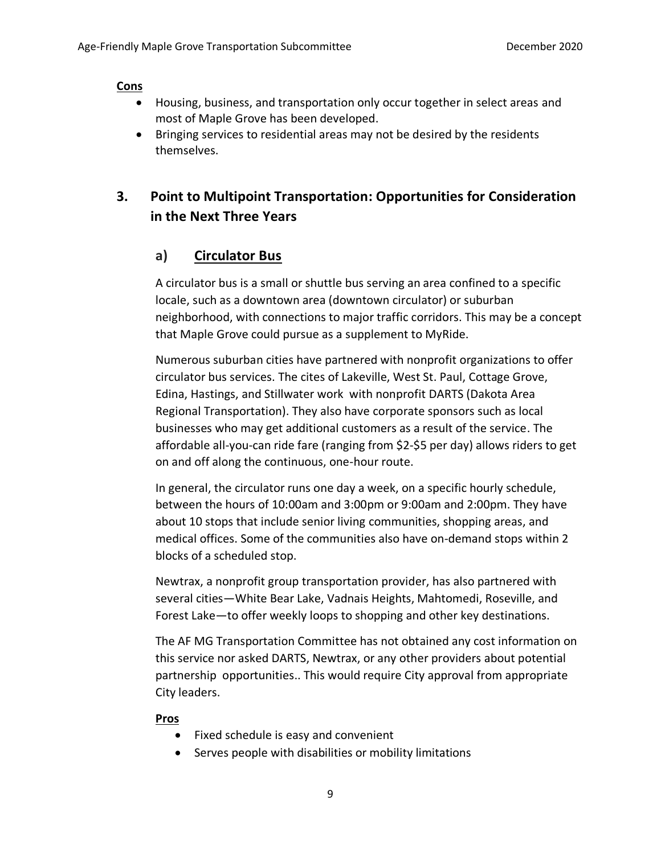#### **Cons**

- Housing, business, and transportation only occur together in select areas and most of Maple Grove has been developed.
- Bringing services to residential areas may not be desired by the residents themselves.

## **3. Point to Multipoint Transportation: Opportunities for Consideration in the Next Three Years**

### **a) Circulator Bus**

A circulator bus is a small or shuttle bus serving an area confined to a specific locale, such as a downtown area (downtown circulator) or suburban neighborhood, with connections to major traffic corridors. This may be a concept that Maple Grove could pursue as a supplement to MyRide.

Numerous suburban cities have partnered with nonprofit organizations to offer circulator bus services. The cites of Lakeville, West St. Paul, Cottage Grove, Edina, Hastings, and Stillwater work with nonprofit DARTS (Dakota Area Regional Transportation). They also have corporate sponsors such as local businesses who may get additional customers as a result of the service. The affordable all-you-can ride fare (ranging from \$2-\$5 per day) allows riders to get on and off along the continuous, one-hour route.

In general, the circulator runs one day a week, on a specific hourly schedule, between the hours of 10:00am and 3:00pm or 9:00am and 2:00pm. They have about 10 stops that include senior living communities, shopping areas, and medical offices. Some of the communities also have on-demand stops within 2 blocks of a scheduled stop.

Newtrax, a nonprofit group transportation provider, has also partnered with several cities—White Bear Lake, Vadnais Heights, Mahtomedi, Roseville, and Forest Lake—to offer weekly loops to shopping and other key destinations.

The AF MG Transportation Committee has not obtained any cost information on this service nor asked DARTS, Newtrax, or any other providers about potential partnership opportunities.. This would require City approval from appropriate City leaders.

### **Pros**

- Fixed schedule is easy and convenient
- Serves people with disabilities or mobility limitations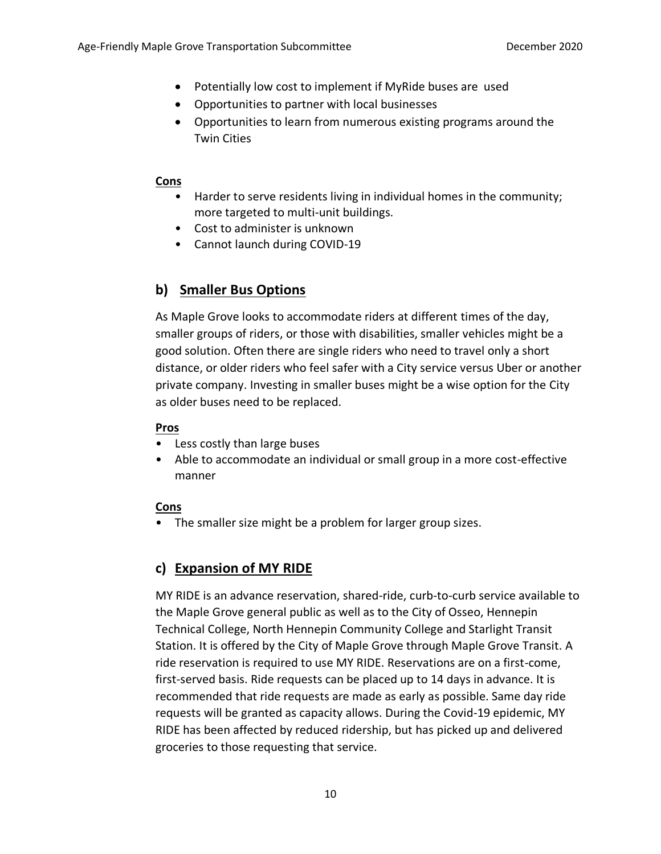- Potentially low cost to implement if MyRide buses are used
- Opportunities to partner with local businesses
- Opportunities to learn from numerous existing programs around the Twin Cities

### **Cons**

- Harder to serve residents living in individual homes in the community; more targeted to multi-unit buildings.
- Cost to administer is unknown
- Cannot launch during COVID-19

## **b) Smaller Bus Options**

As Maple Grove looks to accommodate riders at different times of the day, smaller groups of riders, or those with disabilities, smaller vehicles might be a good solution. Often there are single riders who need to travel only a short distance, or older riders who feel safer with a City service versus Uber or another private company. Investing in smaller buses might be a wise option for the City as older buses need to be replaced.

### **Pros**

- Less costly than large buses
- Able to accommodate an individual or small group in a more cost-effective manner

## **Cons**

• The smaller size might be a problem for larger group sizes.

## **c) Expansion of MY RIDE**

MY RIDE is an advance reservation, shared-ride, curb-to-curb service available to the Maple Grove general public as well as to the City of Osseo, Hennepin Technical College, North Hennepin Community College and Starlight Transit Station. It is offered by the City of Maple Grove through Maple Grove Transit. A ride reservation is required to use MY RIDE. Reservations are on a first-come, first-served basis. Ride requests can be placed up to 14 days in advance. It is recommended that ride requests are made as early as possible. Same day ride requests will be granted as capacity allows. During the Covid-19 epidemic, MY RIDE has been affected by reduced ridership, but has picked up and delivered groceries to those requesting that service.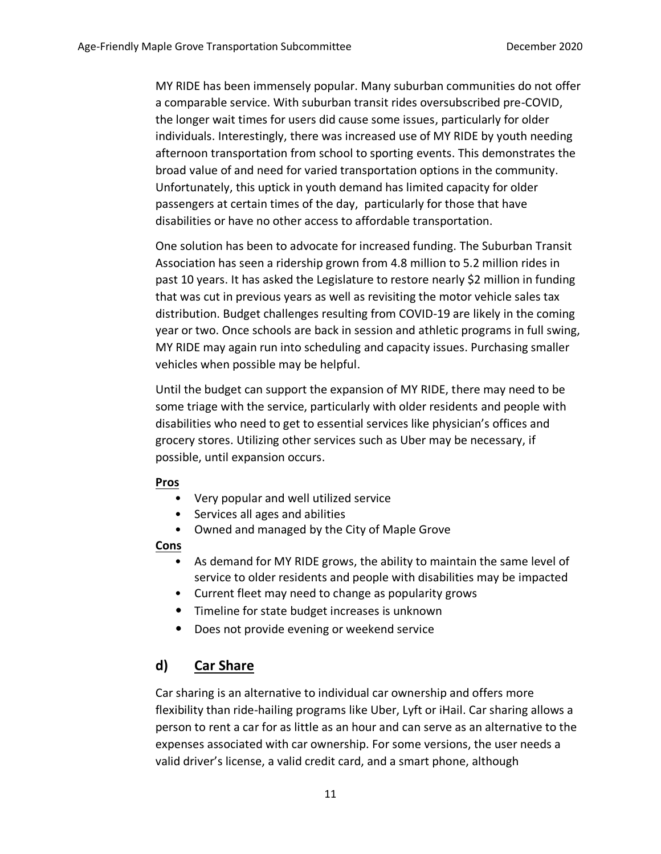MY RIDE has been immensely popular. Many suburban communities do not offer a comparable service. With suburban transit rides oversubscribed pre-COVID, the longer wait times for users did cause some issues, particularly for older individuals. Interestingly, there was increased use of MY RIDE by youth needing afternoon transportation from school to sporting events. This demonstrates the broad value of and need for varied transportation options in the community. Unfortunately, this uptick in youth demand has limited capacity for older passengers at certain times of the day, particularly for those that have disabilities or have no other access to affordable transportation.

One solution has been to advocate for increased funding. The Suburban Transit Association has seen a ridership grown from 4.8 million to 5.2 million rides in past 10 years. It has asked the Legislature to restore nearly \$2 million in funding that was cut in previous years as well as revisiting the motor vehicle sales tax distribution. Budget challenges resulting from COVID-19 are likely in the coming year or two. Once schools are back in session and athletic programs in full swing, MY RIDE may again run into scheduling and capacity issues. Purchasing smaller vehicles when possible may be helpful.

Until the budget can support the expansion of MY RIDE, there may need to be some triage with the service, particularly with older residents and people with disabilities who need to get to essential services like physician's offices and grocery stores. Utilizing other services such as Uber may be necessary, if possible, until expansion occurs.

#### **Pros**

- Very popular and well utilized service
- Services all ages and abilities
- Owned and managed by the City of Maple Grove

### **Cons**

- As demand for MY RIDE grows, the ability to maintain the same level of service to older residents and people with disabilities may be impacted
- Current fleet may need to change as popularity grows
- Timeline for state budget increases is unknown
- Does not provide evening or weekend service

## **d) Car Share**

Car sharing is an alternative to individual car ownership and offers more flexibility than ride-hailing programs like Uber, Lyft or iHail. Car sharing allows a person to rent a car for as little as an hour and can serve as an alternative to the expenses associated with car ownership. For some versions, the user needs a valid driver's license, a valid credit card, and a smart phone, although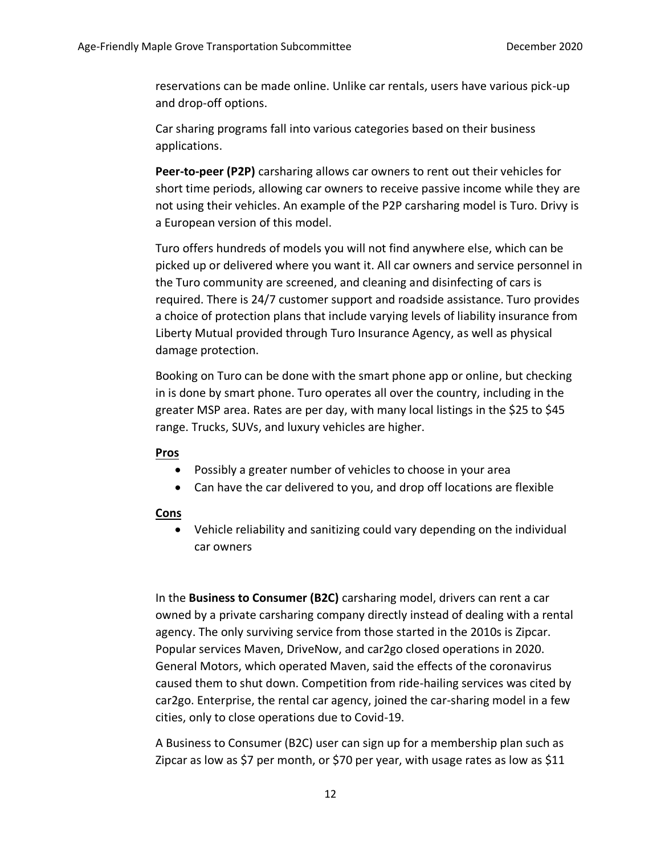reservations can be made online. Unlike car rentals, users have various pick-up and drop-off options.

Car sharing programs fall into various categories based on their business applications.

**Peer-to-peer (P2P)** carsharing allows car owners to rent out their vehicles for short time periods, allowing car owners to receive passive income while they are not using their vehicles. An example of the P2P carsharing model is Turo. Drivy is a European version of this model.

Turo offers hundreds of models you will not find anywhere else, which can be picked up or delivered where you want it. All car owners and service personnel in the Turo community are screened, and cleaning and disinfecting of cars is required. There is 24/7 customer support and roadside assistance. Turo provides a choice of protection plans that include varying levels of liability insurance from Liberty Mutual provided through Turo Insurance Agency, as well as physical damage protection.

Booking on Turo can be done with the smart phone app or online, but checking in is done by smart phone. Turo operates all over the country, including in the greater MSP area. Rates are per day, with many local listings in the \$25 to \$45 range. Trucks, SUVs, and luxury vehicles are higher.

#### **Pros**

- Possibly a greater number of vehicles to choose in your area
- Can have the car delivered to you, and drop off locations are flexible

#### **Cons**

• Vehicle reliability and sanitizing could vary depending on the individual car owners

In the **Business to Consumer (B2C)** carsharing model, drivers can rent a car owned by a private carsharing company directly instead of dealing with a rental agency. The only surviving service from those started in the 2010s is Zipcar. Popular services Maven, DriveNow, and car2go closed operations in 2020. General Motors, which operated Maven, said the effects of the coronavirus caused them to shut down. Competition from ride-hailing services was cited by car2go. Enterprise, the rental car agency, joined the car-sharing model in a few cities, only to close operations due to Covid-19.

A Business to Consumer (B2C) user can sign up for a membership plan such as Zipcar as low as \$7 per month, or \$70 per year, with usage rates as low as \$11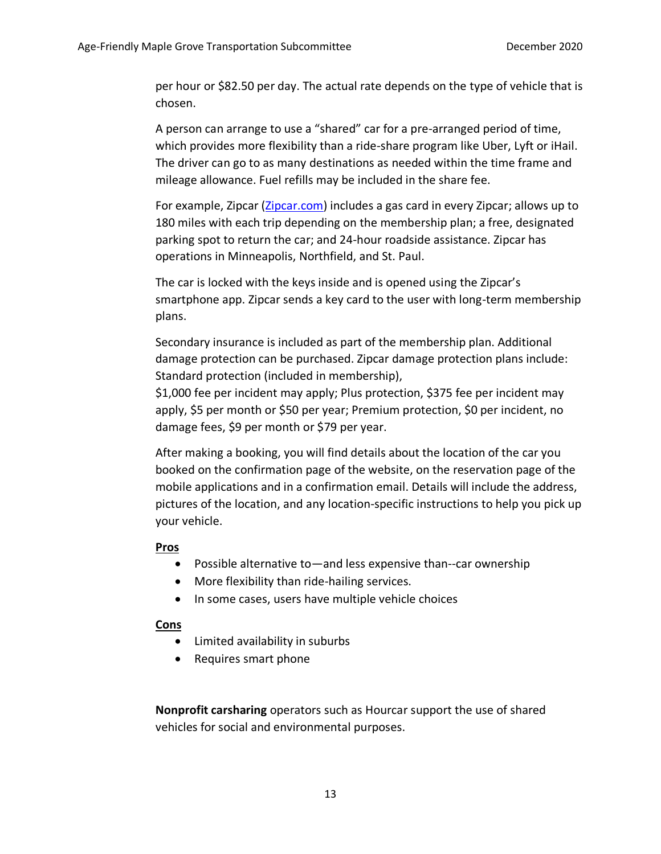per hour or \$82.50 per day. The actual rate depends on the type of vehicle that is chosen.

A person can arrange to use a "shared" car for a pre-arranged period of time, which provides more flexibility than a ride-share program like Uber, Lyft or iHail. The driver can go to as many destinations as needed within the time frame and mileage allowance. Fuel refills may be included in the share fee.

For example, Zipcar [\(Zipcar.com\)](file:///C:/Users/Cheryl/AppData/Local/Temp/Car%20Share.docx) includes a gas card in every Zipcar; allows up to 180 miles with each trip depending on the membership plan; a free, designated parking spot to return the car; and 24-hour roadside assistance. Zipcar has operations in Minneapolis, Northfield, and St. Paul.

The car is locked with the keys inside and is opened using the Zipcar's smartphone app. Zipcar sends a key card to the user with long-term membership plans.

Secondary insurance is included as part of the membership plan. Additional damage protection can be purchased. Zipcar damage protection plans include: Standard protection (included in membership),

\$1,000 fee per incident may apply; Plus protection, \$375 fee per incident may apply, \$5 per month or \$50 per year; Premium protection, \$0 per incident, no damage fees, \$9 per month or \$79 per year.

After making a booking, you will find details about the location of the car you booked on the confirmation page of the website, on the reservation page of the mobile applications and in a confirmation email. Details will include the address, pictures of the location, and any location-specific instructions to help you pick up your vehicle.

#### **Pros**

- Possible alternative to—and less expensive than--car ownership
- More flexibility than ride-hailing services.
- In some cases, users have multiple vehicle choices

#### **Cons**

- Limited availability in suburbs
- Requires smart phone

**Nonprofit carsharing** operators such as Hourcar support the use of shared vehicles for social and environmental purposes.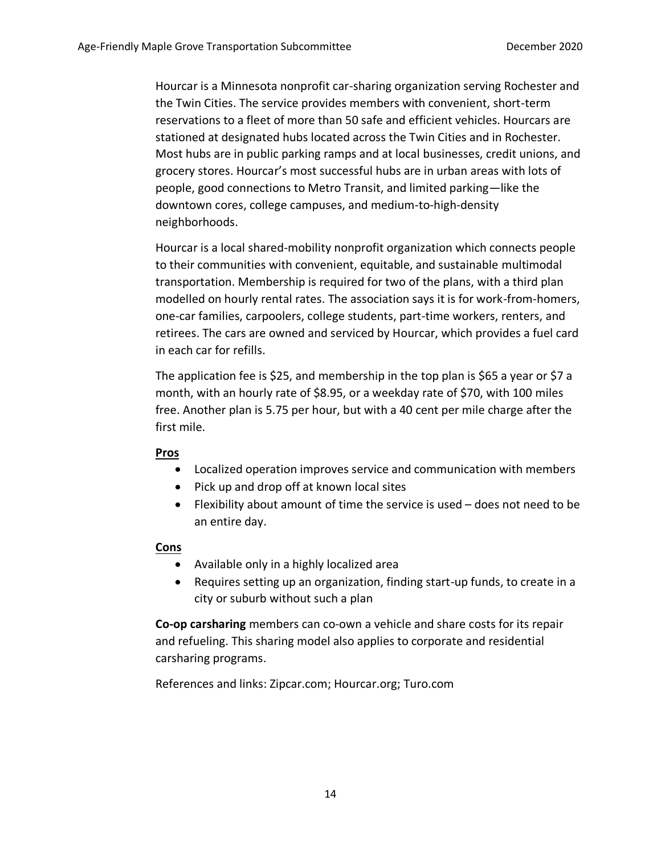Hourcar is a Minnesota nonprofit car-sharing organization serving Rochester and the Twin Cities. The service provides members with convenient, short-term reservations to a fleet of more than 50 safe and efficient vehicles. Hourcars are stationed at designated hubs located across the Twin Cities and in Rochester. Most hubs are in public parking ramps and at local businesses, credit unions, and grocery stores. Hourcar's most successful hubs are in urban areas with lots of people, good connections to Metro Transit, and limited parking—like the downtown cores, college campuses, and medium-to-high-density neighborhoods.

Hourcar is a local shared-mobility nonprofit organization which connects people to their communities with convenient, equitable, and sustainable multimodal transportation. Membership is required for two of the plans, with a third plan modelled on hourly rental rates. The association says it is for work-from-homers, one-car families, carpoolers, college students, part-time workers, renters, and retirees. The cars are owned and serviced by Hourcar, which provides a fuel card in each car for refills.

The application fee is \$25, and membership in the top plan is \$65 a year or \$7 a month, with an hourly rate of \$8.95, or a weekday rate of \$70, with 100 miles free. Another plan is 5.75 per hour, but with a 40 cent per mile charge after the first mile.

#### **Pros**

- Localized operation improves service and communication with members
- Pick up and drop off at known local sites
- Flexibility about amount of time the service is used does not need to be an entire day.

#### **Cons**

- Available only in a highly localized area
- Requires setting up an organization, finding start-up funds, to create in a city or suburb without such a plan

**Co-op carsharing** members can co-own a vehicle and share costs for its repair and refueling. This sharing model also applies to corporate and residential carsharing programs.

References and links: [Zipcar.com;](file:///C:/Users/Cheryl/AppData/Local/Temp/Car%20Share.docx) Hourcar.org; [Turo.com](file:///C:/Users/Cheryl/AppData/Local/Temp/Car%20Share.docx)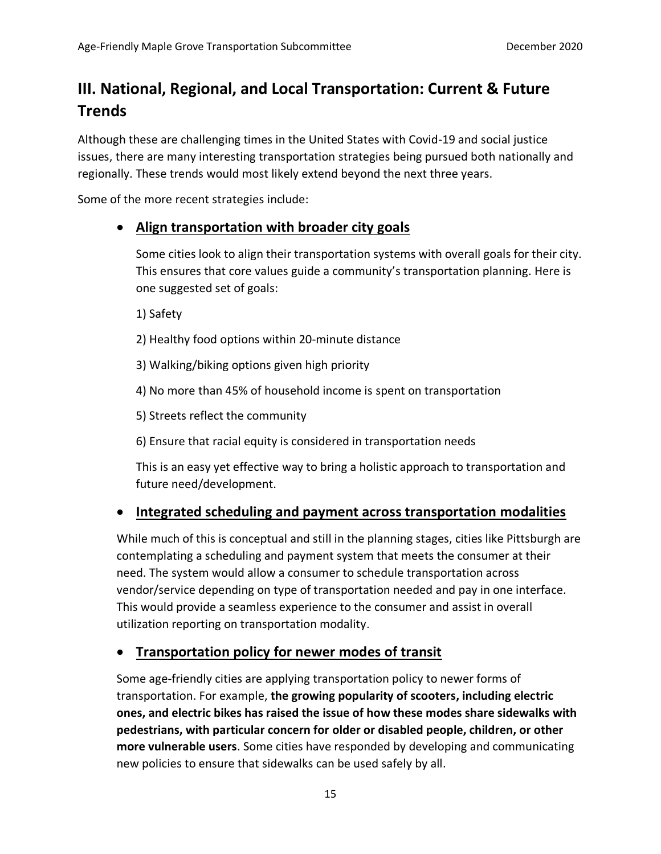## **III. National, Regional, and Local Transportation: Current & Future Trends**

Although these are challenging times in the United States with Covid-19 and social justice issues, there are many interesting transportation strategies being pursued both nationally and regionally. These trends would most likely extend beyond the next three years.

Some of the more recent strategies include:

## • **Align transportation with broader city goals**

Some cities look to align their transportation systems with overall goals for their city. This ensures that core values guide a community's transportation planning. Here is one suggested set of goals:

1) Safety

2) Healthy food options within 20-minute distance

3) Walking/biking options given high priority

4) No more than 45% of household income is spent on transportation

5) Streets reflect the community

6) Ensure that racial equity is considered in transportation needs

This is an easy yet effective way to bring a holistic approach to transportation and future need/development.

## • **Integrated scheduling and payment across transportation modalities**

While much of this is conceptual and still in the planning stages, cities like Pittsburgh are contemplating a scheduling and payment system that meets the consumer at their need. The system would allow a consumer to schedule transportation across vendor/service depending on type of transportation needed and pay in one interface. This would provide a seamless experience to the consumer and assist in overall utilization reporting on transportation modality.

## • **Transportation policy for newer modes of transit**

Some age-friendly cities are applying transportation policy to newer forms of transportation. For example, **the growing popularity of scooters, including electric ones, and electric bikes has raised the issue of how these modes share sidewalks with pedestrians, with particular concern for older or disabled people, children, or other more vulnerable users**. Some cities have responded by developing and communicating new policies to ensure that sidewalks can be used safely by all.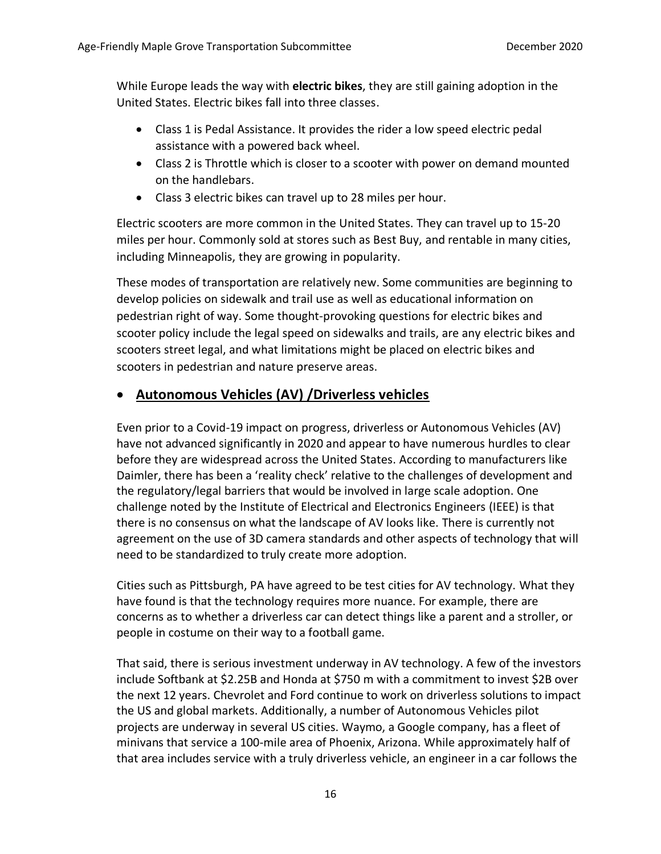While Europe leads the way with **electric bikes**, they are still gaining adoption in the United States. Electric bikes fall into three classes.

- Class 1 is Pedal Assistance. It provides the rider a low speed electric pedal assistance with a powered back wheel.
- Class 2 is Throttle which is closer to a scooter with power on demand mounted on the handlebars.
- Class 3 electric bikes can travel up to 28 miles per hour.

Electric scooters are more common in the United States. They can travel up to 15-20 miles per hour. Commonly sold at stores such as Best Buy, and rentable in many cities, including Minneapolis, they are growing in popularity.

These modes of transportation are relatively new. Some communities are beginning to develop policies on sidewalk and trail use as well as educational information on pedestrian right of way. Some thought-provoking questions for electric bikes and scooter policy include the legal speed on sidewalks and trails, are any electric bikes and scooters street legal, and what limitations might be placed on electric bikes and scooters in pedestrian and nature preserve areas.

## • **Autonomous Vehicles (AV) /Driverless vehicles**

Even prior to a Covid-19 impact on progress, driverless or Autonomous Vehicles (AV) have not advanced significantly in 2020 and appear to have numerous hurdles to clear before they are widespread across the United States. According to manufacturers like Daimler, there has been a 'reality check' relative to the challenges of development and the regulatory/legal barriers that would be involved in large scale adoption. One challenge noted by the Institute of Electrical and Electronics Engineers (IEEE) is that there is no consensus on what the landscape of AV looks like. There is currently not agreement on the use of 3D camera standards and other aspects of technology that will need to be standardized to truly create more adoption.

Cities such as Pittsburgh, PA have agreed to be test cities for AV technology. What they have found is that the technology requires more nuance. For example, there are concerns as to whether a driverless car can detect things like a parent and a stroller, or people in costume on their way to a football game.

That said, there is serious investment underway in AV technology. A few of the investors include Softbank at \$2.25B and Honda at \$750 m with a commitment to invest \$2B over the next 12 years. Chevrolet and Ford continue to work on driverless solutions to impact the US and global markets. Additionally, a number of Autonomous Vehicles pilot projects are underway in several US cities. Waymo, a Google company, has a fleet of minivans that service a 100-mile area of Phoenix, Arizona. While approximately half of that area includes service with a truly driverless vehicle, an engineer in a car follows the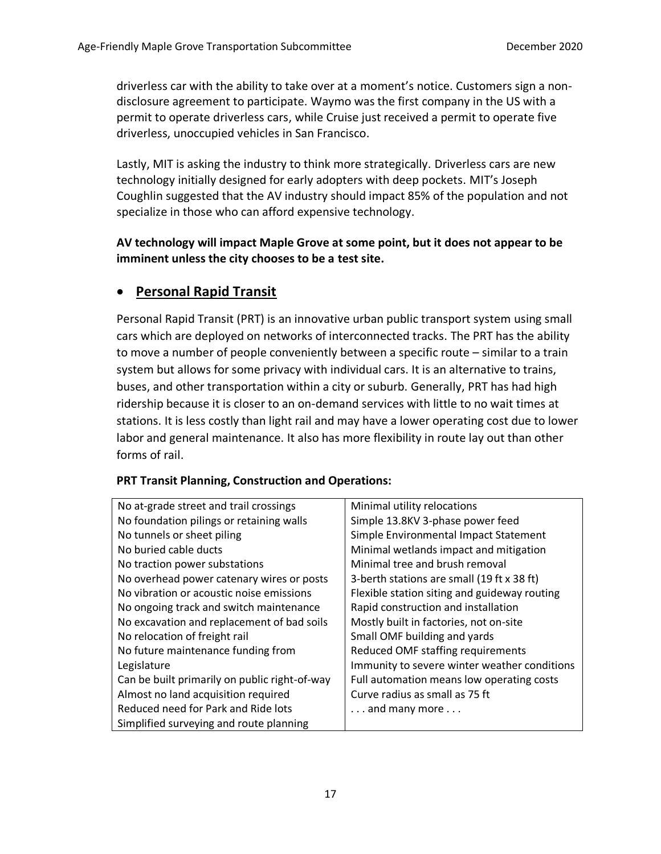driverless car with the ability to take over at a moment's notice. Customers sign a nondisclosure agreement to participate. Waymo was the first company in the US with a permit to operate driverless cars, while Cruise just received a permit to operate five driverless, unoccupied vehicles in San Francisco.

Lastly, MIT is asking the industry to think more strategically. Driverless cars are new technology initially designed for early adopters with deep pockets. MIT's Joseph Coughlin suggested that the AV industry should impact 85% of the population and not specialize in those who can afford expensive technology.

### **AV technology will impact Maple Grove at some point, but it does not appear to be imminent unless the city chooses to be a test site.**

## • **Personal Rapid Transit**

Personal Rapid Transit (PRT) is an innovative urban public transport system using small cars which are deployed on networks of interconnected tracks. The PRT has the ability to move a number of people conveniently between a specific route – similar to a train system but allows for some privacy with individual cars. It is an alternative to trains, buses, and other transportation within a city or suburb. Generally, PRT has had high ridership because it is closer to an on-demand services with little to no wait times at stations. It is less costly than light rail and may have a lower operating cost due to lower labor and general maintenance. It also has more flexibility in route lay out than other forms of rail.

### **PRT Transit Planning, Construction and Operations:**

| No at-grade street and trail crossings        | Minimal utility relocations                  |
|-----------------------------------------------|----------------------------------------------|
| No foundation pilings or retaining walls      | Simple 13.8KV 3-phase power feed             |
| No tunnels or sheet piling                    | Simple Environmental Impact Statement        |
| No buried cable ducts                         | Minimal wetlands impact and mitigation       |
| No traction power substations                 | Minimal tree and brush removal               |
| No overhead power catenary wires or posts     | 3-berth stations are small (19 ft x 38 ft)   |
| No vibration or acoustic noise emissions      | Flexible station siting and guideway routing |
| No ongoing track and switch maintenance       | Rapid construction and installation          |
| No excavation and replacement of bad soils    | Mostly built in factories, not on-site       |
| No relocation of freight rail                 | Small OMF building and yards                 |
| No future maintenance funding from            | Reduced OMF staffing requirements            |
| Legislature                                   | Immunity to severe winter weather conditions |
| Can be built primarily on public right-of-way | Full automation means low operating costs    |
| Almost no land acquisition required           | Curve radius as small as 75 ft               |
| Reduced need for Park and Ride lots           | $\dots$ and many more $\dots$                |
| Simplified surveying and route planning       |                                              |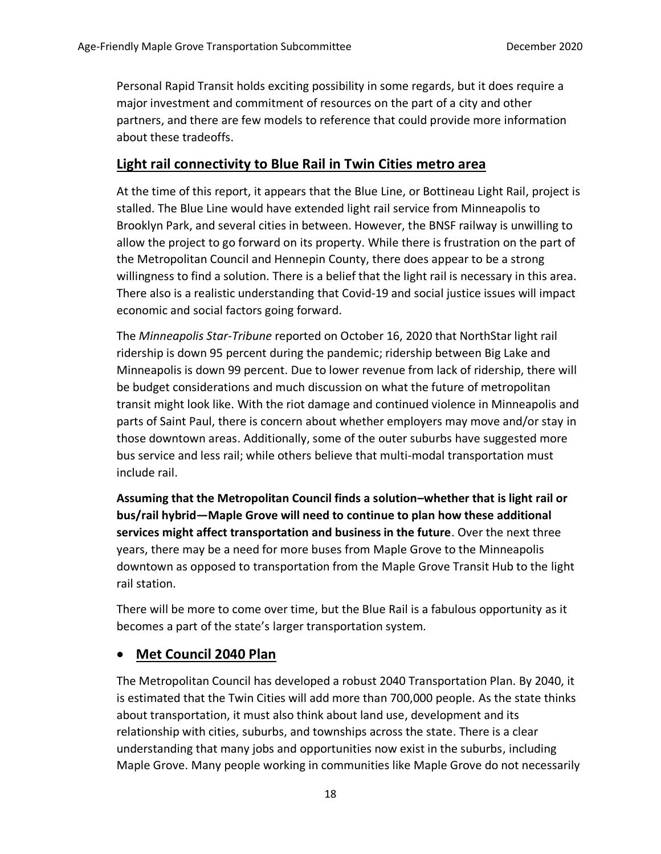Personal Rapid Transit holds exciting possibility in some regards, but it does require a major investment and commitment of resources on the part of a city and other partners, and there are few models to reference that could provide more information about these tradeoffs.

## **Light rail connectivity to Blue Rail in Twin Cities metro area**

At the time of this report, it appears that the Blue Line, or Bottineau Light Rail, project is stalled. The Blue Line would have extended light rail service from Minneapolis to Brooklyn Park, and several cities in between. However, the BNSF railway is unwilling to allow the project to go forward on its property. While there is frustration on the part of the Metropolitan Council and Hennepin County, there does appear to be a strong willingness to find a solution. There is a belief that the light rail is necessary in this area. There also is a realistic understanding that Covid-19 and social justice issues will impact economic and social factors going forward.

The *Minneapolis Star-Tribune* reported on October 16, 2020 that NorthStar light rail ridership is down 95 percent during the pandemic; ridership between Big Lake and Minneapolis is down 99 percent. Due to lower revenue from lack of ridership, there will be budget considerations and much discussion on what the future of metropolitan transit might look like. With the riot damage and continued violence in Minneapolis and parts of Saint Paul, there is concern about whether employers may move and/or stay in those downtown areas. Additionally, some of the outer suburbs have suggested more bus service and less rail; while others believe that multi-modal transportation must include rail.

**Assuming that the Metropolitan Council finds a solution–whether that is light rail or bus/rail hybrid—Maple Grove will need to continue to plan how these additional services might affect transportation and business in the future**. Over the next three years, there may be a need for more buses from Maple Grove to the Minneapolis downtown as opposed to transportation from the Maple Grove Transit Hub to the light rail station.

There will be more to come over time, but the Blue Rail is a fabulous opportunity as it becomes a part of the state's larger transportation system.

## • **Met Council 2040 Plan**

The Metropolitan Council has developed a robust 2040 Transportation Plan. By 2040, it is estimated that the Twin Cities will add more than 700,000 people. As the state thinks about transportation, it must also think about land use, development and its relationship with cities, suburbs, and townships across the state. There is a clear understanding that many jobs and opportunities now exist in the suburbs, including Maple Grove. Many people working in communities like Maple Grove do not necessarily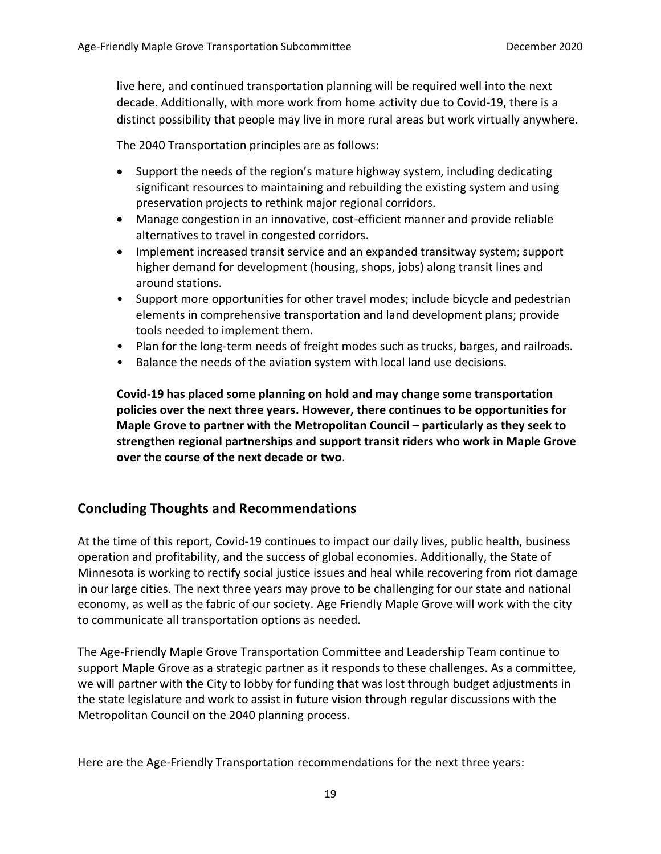live here, and continued transportation planning will be required well into the next decade. Additionally, with more work from home activity due to Covid-19, there is a distinct possibility that people may live in more rural areas but work virtually anywhere.

The 2040 Transportation principles are as follows:

- Support the needs of the region's mature highway system, including dedicating significant resources to maintaining and rebuilding the existing system and using preservation projects to rethink major regional corridors.
- Manage congestion in an innovative, cost-efficient manner and provide reliable alternatives to travel in congested corridors.
- Implement increased transit service and an expanded transitway system; support higher demand for development (housing, shops, jobs) along transit lines and around stations.
- Support more opportunities for other travel modes; include bicycle and pedestrian elements in comprehensive transportation and land development plans; provide tools needed to implement them.
- Plan for the long-term needs of freight modes such as trucks, barges, and railroads.
- Balance the needs of the aviation system with local land use decisions.

**Covid-19 has placed some planning on hold and may change some transportation policies over the next three years. However, there continues to be opportunities for Maple Grove to partner with the Metropolitan Council – particularly as they seek to strengthen regional partnerships and support transit riders who work in Maple Grove over the course of the next decade or two**.

## **Concluding Thoughts and Recommendations**

At the time of this report, Covid-19 continues to impact our daily lives, public health, business operation and profitability, and the success of global economies. Additionally, the State of Minnesota is working to rectify social justice issues and heal while recovering from riot damage in our large cities. The next three years may prove to be challenging for our state and national economy, as well as the fabric of our society. Age Friendly Maple Grove will work with the city to communicate all transportation options as needed.

The Age-Friendly Maple Grove Transportation Committee and Leadership Team continue to support Maple Grove as a strategic partner as it responds to these challenges. As a committee, we will partner with the City to lobby for funding that was lost through budget adjustments in the state legislature and work to assist in future vision through regular discussions with the Metropolitan Council on the 2040 planning process.

Here are the Age-Friendly Transportation recommendations for the next three years: